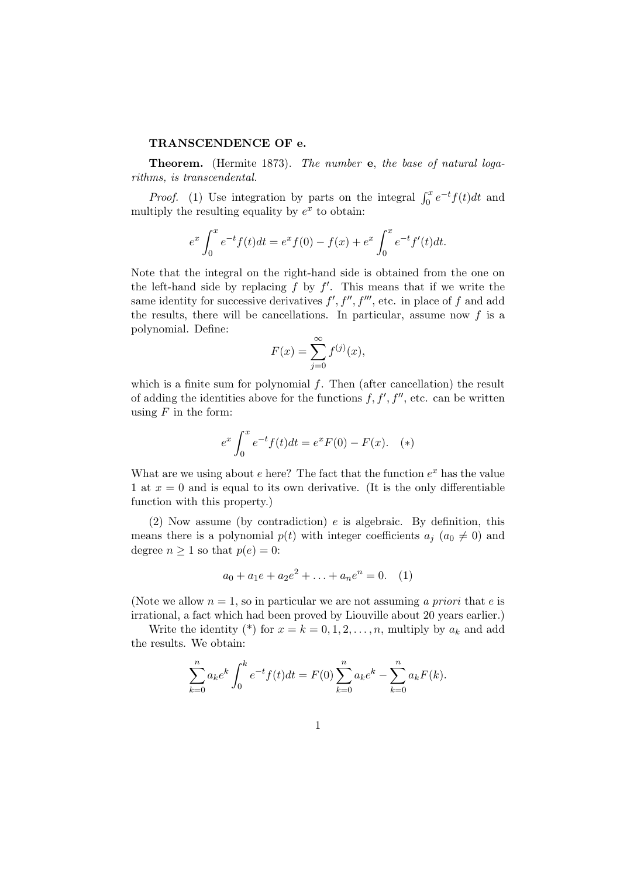## TRANSCENDENCE OF e.

Theorem. (Hermite 1873). The number e, the base of natural logarithms, is transcendental.

*Proof.* (1) Use integration by parts on the integral  $\int_0^x e^{-t} f(t) dt$  and multiply the resulting equality by  $e^x$  to obtain:

$$
e^x \int_0^x e^{-t} f(t) dt = e^x f(0) - f(x) + e^x \int_0^x e^{-t} f'(t) dt.
$$

Note that the integral on the right-hand side is obtained from the one on the left-hand side by replacing  $f$  by  $f'$ . This means that if we write the same identity for successive derivatives  $f', f'', f'''$ , etc. in place of f and add the results, there will be cancellations. In particular, assume now  $f$  is a polynomial. Define:

$$
F(x) = \sum_{j=0}^{\infty} f^{(j)}(x),
$$

which is a finite sum for polynomial  $f$ . Then (after cancellation) the result of adding the identities above for the functions  $f, f', f''$ , etc. can be written using  $F$  in the form:

$$
e^x \int_0^x e^{-t} f(t) dt = e^x F(0) - F(x). \quad (*)
$$

What are we using about  $e$  here? The fact that the function  $e^x$  has the value 1 at  $x = 0$  and is equal to its own derivative. (It is the only differentiable function with this property.)

(2) Now assume (by contradiction)  $e$  is algebraic. By definition, this means there is a polynomial  $p(t)$  with integer coefficients  $a_j$   $(a_0 \neq 0)$  and degree  $n \geq 1$  so that  $p(e) = 0$ :

$$
a_0 + a_1 e + a_2 e^2 + \ldots + a_n e^n = 0. \quad (1)
$$

(Note we allow  $n = 1$ , so in particular we are not assuming a priori that e is irrational, a fact which had been proved by Liouville about 20 years earlier.)

Write the identity (\*) for  $x = k = 0, 1, 2, \ldots, n$ , multiply by  $a_k$  and add the results. We obtain:

$$
\sum_{k=0}^{n} a_k e^k \int_0^k e^{-t} f(t) dt = F(0) \sum_{k=0}^{n} a_k e^k - \sum_{k=0}^{n} a_k F(k).
$$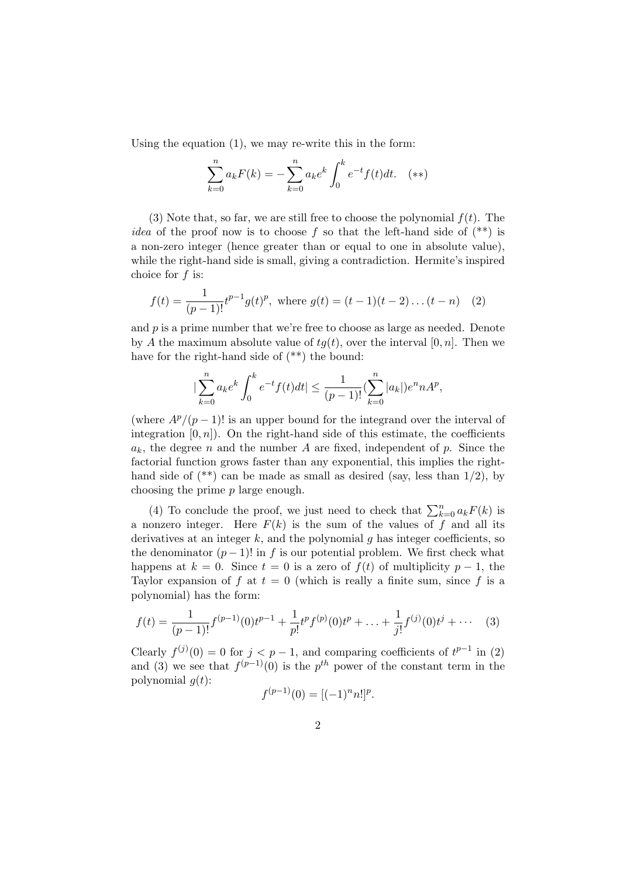Using the equation (1), we may re-write this in the form:

$$
\sum_{k=0}^{n} a_k F(k) = -\sum_{k=0}^{n} a_k e^k \int_0^k e^{-t} f(t) dt.
$$
(\*\*)

(3) Note that, so far, we are still free to choose the polynomial  $f(t)$ . The *idea* of the proof now is to choose f so that the left-hand side of  $(**)$  is a non-zero integer (hence greater than or equal to one in absolute value), while the right-hand side is small, giving a contradiction. Hermite's inspired choice for f is:

$$
f(t) = \frac{1}{(p-1)!} t^{p-1} g(t)^p, \text{ where } g(t) = (t-1)(t-2)\dots(t-n) \quad (2)
$$

and  $p$  is a prime number that we're free to choose as large as needed. Denote by A the maximum absolute value of  $tg(t)$ , over the interval [0, n]. Then we have for the right-hand side of (\*\*) the bound:

$$
|\sum_{k=0}^{n} a_k e^k \int_0^k e^{-t} f(t) dt| \le \frac{1}{(p-1)!} (\sum_{k=0}^{n} |a_k|) e^n n A^p,
$$

(where  $A^p/(p-1)!$  is an upper bound for the integrand over the interval of integration  $[0, n]$ ). On the right-hand side of this estimate, the coefficients  $a_k$ , the degree n and the number A are fixed, independent of p. Since the factorial function grows faster than any exponential, this implies the righthand side of  $(**)$  can be made as small as desired (say, less than  $1/2$ ), by choosing the prime p large enough.

(4) To conclude the proof, we just need to check that  $\sum_{k=0}^{n} a_k F(k)$  is a nonzero integer. Here  $F(k)$  is the sum of the values of f and all its derivatives at an integer  $k$ , and the polynomial  $g$  has integer coefficients, so the denominator  $(p-1)!$  in f is our potential problem. We first check what happens at  $k = 0$ . Since  $t = 0$  is a zero of  $f(t)$  of multiplicity  $p - 1$ , the Taylor expansion of f at  $t = 0$  (which is really a finite sum, since f is a polynomial) has the form:

$$
f(t) = \frac{1}{(p-1)!} f^{(p-1)}(0) t^{p-1} + \frac{1}{p!} t^p f^{(p)}(0) t^p + \dots + \frac{1}{j!} f^{(j)}(0) t^j + \dots
$$
 (3)

Clearly  $f^{(j)}(0) = 0$  for  $j < p-1$ , and comparing coefficients of  $t^{p-1}$  in (2) and (3) we see that  $f^{(p-1)}(0)$  is the  $p^{th}$  power of the constant term in the polynomial  $g(t)$ :

$$
f^{(p-1)}(0) = [(-1)^n n!]^p
$$

.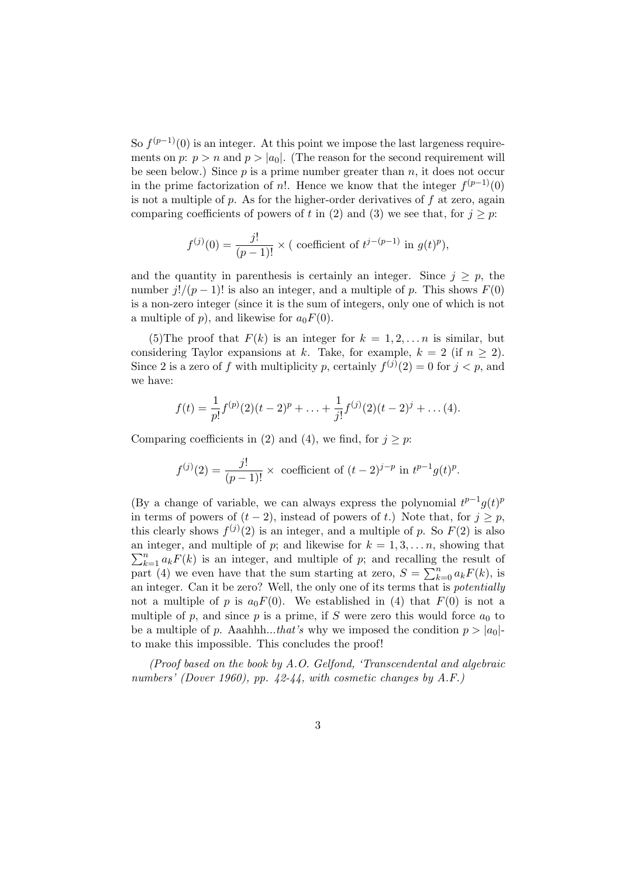So  $f^{(p-1)}(0)$  is an integer. At this point we impose the last largeness requirements on p:  $p > n$  and  $p > |a_0|$ . (The reason for the second requirement will be seen below.) Since  $p$  is a prime number greater than  $n$ , it does not occur in the prime factorization of n!. Hence we know that the integer  $f^{(p-1)}(0)$ is not a multiple of  $p$ . As for the higher-order derivatives of  $f$  at zero, again comparing coefficients of powers of t in (2) and (3) we see that, for  $j \geq p$ :

$$
f^{(j)}(0) = \frac{j!}{(p-1)!} \times (\text{ coefficient of } t^{j-(p-1)} \text{ in } g(t)^p),
$$

and the quantity in parenthesis is certainly an integer. Since  $j \geq p$ , the number  $j!/(p-1)!$  is also an integer, and a multiple of p. This shows  $F(0)$ is a non-zero integer (since it is the sum of integers, only one of which is not a multiple of p), and likewise for  $a_0F(0)$ .

(5) The proof that  $F(k)$  is an integer for  $k = 1, 2, \ldots n$  is similar, but considering Taylor expansions at k. Take, for example,  $k = 2$  (if  $n > 2$ ). Since 2 is a zero of f with multiplicity p, certainly  $f^{(j)}(2) = 0$  for  $j < p$ , and we have:

$$
f(t) = \frac{1}{p!}f^{(p)}(2)(t-2)^p + \ldots + \frac{1}{j!}f^{(j)}(2)(t-2)^j + \ldots (4).
$$

Comparing coefficients in (2) and (4), we find, for  $j \geq p$ :

$$
f^{(j)}(2) = \frac{j!}{(p-1)!} \times \text{ coefficient of } (t-2)^{j-p} \text{ in } t^{p-1}g(t)^p.
$$

(By a change of variable, we can always express the polynomial  $t^{p-1}g(t)^p$ in terms of powers of  $(t-2)$ , instead of powers of t.) Note that, for  $j \geq p$ , this clearly shows  $f^{(j)}(2)$  is an integer, and a multiple of p. So  $F(2)$  is also an integer, and multiple of p; and likewise for  $k = 1, 3, \ldots n$ , showing that  $n_{k=1}^{n} a_k F(k)$  is an integer, and multiple of p; and recalling the result of  $\sum_{k=1}^{\infty} a_k r(\kappa)$  is an integer, and intuitiple of p; and recalling<br>part (4) we even have that the sum starting at zero,  $S = \sum_{k=1}^{n}$  $_{k=0}^{n} a_k F(k)$ , is an integer. Can it be zero? Well, the only one of its terms that is potentially not a multiple of p is  $a_0F(0)$ . We established in (4) that  $F(0)$  is not a multiple of p, and since p is a prime, if S were zero this would force  $a_0$  to be a multiple of p. Aaahhh...that's why we imposed the condition  $p > |a_0|$ to make this impossible. This concludes the proof!

(Proof based on the book by A.O. Gelfond, 'Transcendental and algebraic numbers' (Dover 1960), pp. 42-44, with cosmetic changes by A.F.)